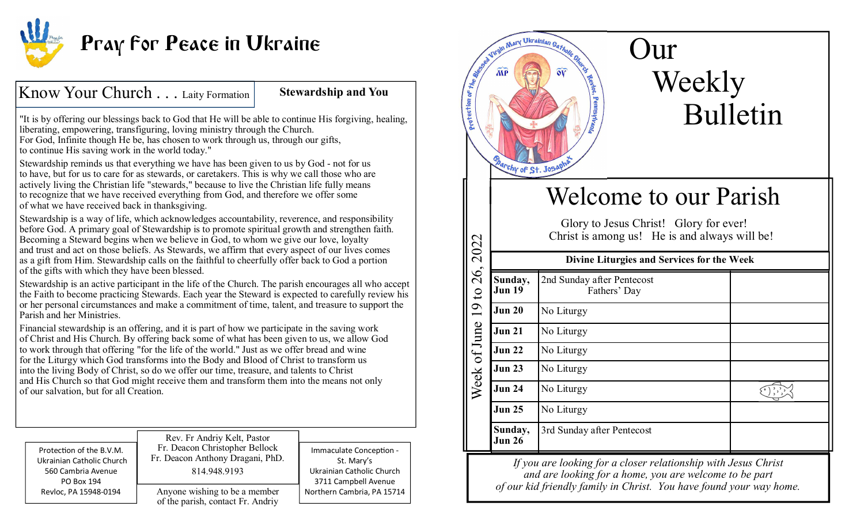

# **Pray for Peace in Ukraine**

Know Your Church . . . Laity Formation **Stewardship and You** 

"It is by offering our blessings back to God that He will be able to continue His forgiving, healing, liberating, empowering, transfiguring, loving ministry through the Church. For God, Infinite though He be, has chosen to work through us, through our gifts, to continue His saving work in the world today."

Stewardship reminds us that everything we have has been given to us by God - not for us to have, but for us to care for as stewards, or caretakers. This is why we call those who are actively living the Christian life "stewards," because to live the Christian life fully means to recognize that we have received everything from God, and therefore we offer some of what we have received back in thanksgiving.

Stewardship is a way of life, which acknowledges accountability, reverence, and responsibility before God. A primary goal of Stewardship is to promote spiritual growth and strengthen faith. Becoming a Steward begins when we believe in God, to whom we give our love, loyalty and trust and act on those beliefs. As Stewards, we affirm that every aspect of our lives comes as a gift from Him. Stewardship calls on the faithful to cheerfully offer back to God a portion of the gifts with which they have been blessed.

Stewardship is an active participant in the life of the Church. The parish encourages all who accept the Faith to become practicing Stewards. Each year the Steward is expected to carefully review his or her personal circumstances and make a commitment of time, talent, and treasure to support the Parish and her Ministries.

Financial stewardship is an offering, and it is part of how we participate in the saving work of Christ and His Church. By offering back some of what has been given to us, we allow God to work through that offering "for the life of the world." Just as we offer bread and wine for the Liturgy which God transforms into the Body and Blood of Christ to transform us into the living Body of Christ, so do we offer our time, treasure, and talents to Christ and His Church so that God might receive them and transform them into the means not only of our salvation, but for all Creation.

| Protection of the B.V.M.<br>Ukrainian Catholic Church<br>560 Cambria Avenue<br>PO Box 194 | Rev. Fr Andriy Kelt, Pastor<br>Fr. Deacon Christopher Bellock<br>Fr. Deacon Anthony Dragani, PhD.<br>814.948.9193 | Immaculate Conception -<br>St. Mary's<br>Ukrainian Catholic Church<br>3711 Campbell Avenue<br>Northern Cambria, PA 15714 |
|-------------------------------------------------------------------------------------------|-------------------------------------------------------------------------------------------------------------------|--------------------------------------------------------------------------------------------------------------------------|
| Revloc, PA 15948-0194                                                                     | Anyone wishing to be a member<br>of the parish, contact Fr. Andriy                                                |                                                                                                                          |



*If you are looking for a closer relationship with Jesus Christand are looking for a home, you are welcome to be part of our kid friendly family in Christ. You have found your way home.*